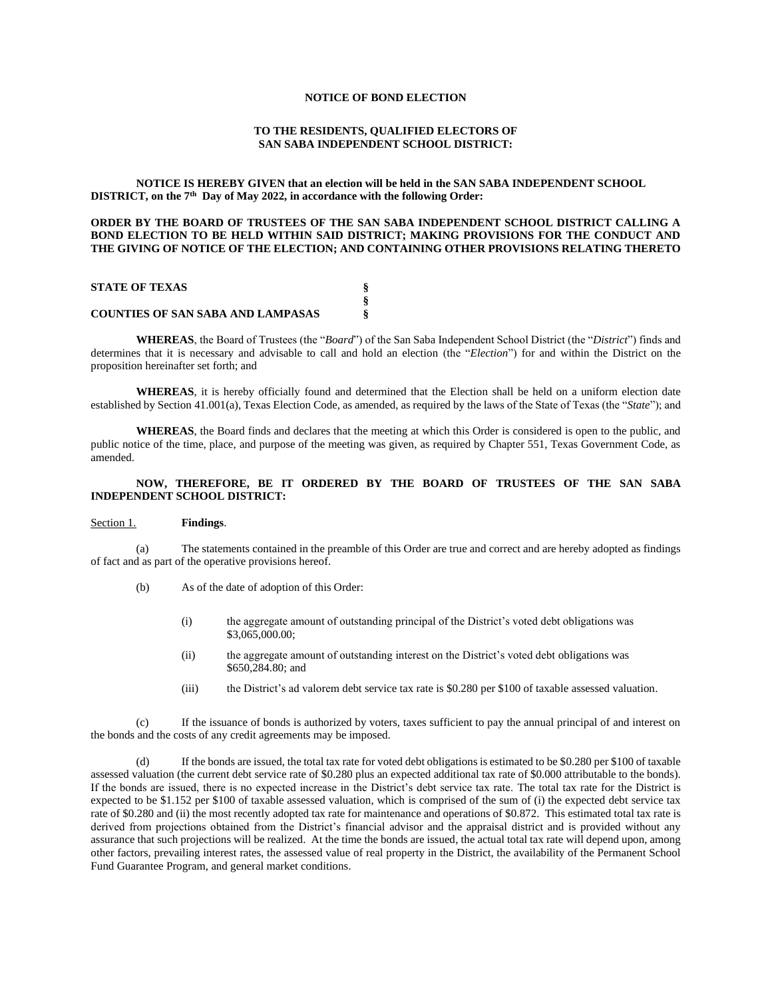#### **NOTICE OF BOND ELECTION**

# **TO THE RESIDENTS, QUALIFIED ELECTORS OF SAN SABA INDEPENDENT SCHOOL DISTRICT:**

## **NOTICE IS HEREBY GIVEN that an election will be held in the SAN SABA INDEPENDENT SCHOOL DISTRICT, on the 7th Day of May 2022, in accordance with the following Order:**

# **ORDER BY THE BOARD OF TRUSTEES OF THE SAN SABA INDEPENDENT SCHOOL DISTRICT CALLING A BOND ELECTION TO BE HELD WITHIN SAID DISTRICT; MAKING PROVISIONS FOR THE CONDUCT AND THE GIVING OF NOTICE OF THE ELECTION; AND CONTAINING OTHER PROVISIONS RELATING THERETO**

## **STATE OF TEXAS § § COUNTIES OF SAN SABA AND LAMPASAS §**

**WHEREAS**, the Board of Trustees (the "*Board*") of the San Saba Independent School District (the "*District*") finds and determines that it is necessary and advisable to call and hold an election (the "*Election*") for and within the District on the proposition hereinafter set forth; and

**WHEREAS**, it is hereby officially found and determined that the Election shall be held on a uniform election date established by Section 41.001(a), Texas Election Code, as amended, as required by the laws of the State of Texas (the "*State*"); and

**WHEREAS**, the Board finds and declares that the meeting at which this Order is considered is open to the public, and public notice of the time, place, and purpose of the meeting was given, as required by Chapter 551, Texas Government Code, as amended.

# **NOW, THEREFORE, BE IT ORDERED BY THE BOARD OF TRUSTEES OF THE SAN SABA INDEPENDENT SCHOOL DISTRICT:**

# Section 1. **Findings**.

(a) The statements contained in the preamble of this Order are true and correct and are hereby adopted as findings of fact and as part of the operative provisions hereof.

- (b) As of the date of adoption of this Order:
	- (i) the aggregate amount of outstanding principal of the District's voted debt obligations was \$3,065,000.00;
	- (ii) the aggregate amount of outstanding interest on the District's voted debt obligations was \$650,284.80; and
	- (iii) the District's ad valorem debt service tax rate is \$0.280 per \$100 of taxable assessed valuation.

(c) If the issuance of bonds is authorized by voters, taxes sufficient to pay the annual principal of and interest on the bonds and the costs of any credit agreements may be imposed.

If the bonds are issued, the total tax rate for voted debt obligations is estimated to be  $$0.280$  per  $$100$  of taxable assessed valuation (the current debt service rate of \$0.280 plus an expected additional tax rate of \$0.000 attributable to the bonds). If the bonds are issued, there is no expected increase in the District's debt service tax rate. The total tax rate for the District is expected to be \$1.152 per \$100 of taxable assessed valuation, which is comprised of the sum of (i) the expected debt service tax rate of \$0.280 and (ii) the most recently adopted tax rate for maintenance and operations of \$0.872. This estimated total tax rate is derived from projections obtained from the District's financial advisor and the appraisal district and is provided without any assurance that such projections will be realized. At the time the bonds are issued, the actual total tax rate will depend upon, among other factors, prevailing interest rates, the assessed value of real property in the District, the availability of the Permanent School Fund Guarantee Program, and general market conditions.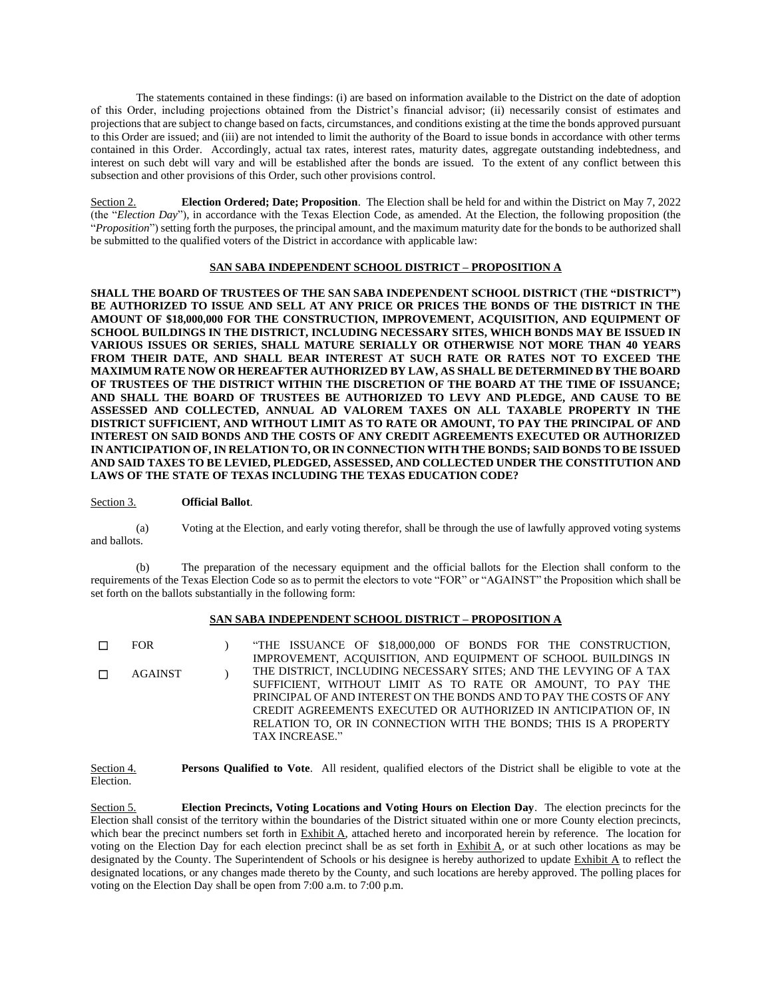The statements contained in these findings: (i) are based on information available to the District on the date of adoption of this Order, including projections obtained from the District's financial advisor; (ii) necessarily consist of estimates and projections that are subject to change based on facts, circumstances, and conditions existing at the time the bonds approved pursuant to this Order are issued; and (iii) are not intended to limit the authority of the Board to issue bonds in accordance with other terms contained in this Order. Accordingly, actual tax rates, interest rates, maturity dates, aggregate outstanding indebtedness, and interest on such debt will vary and will be established after the bonds are issued. To the extent of any conflict between this subsection and other provisions of this Order, such other provisions control.

Section 2. **Election Ordered; Date; Proposition**. The Election shall be held for and within the District on May 7, 2022 (the "*Election Day*"), in accordance with the Texas Election Code, as amended. At the Election, the following proposition (the "*Proposition*") setting forth the purposes, the principal amount, and the maximum maturity date for the bonds to be authorized shall be submitted to the qualified voters of the District in accordance with applicable law:

# **SAN SABA INDEPENDENT SCHOOL DISTRICT – PROPOSITION A**

**SHALL THE BOARD OF TRUSTEES OF THE SAN SABA INDEPENDENT SCHOOL DISTRICT (THE "DISTRICT") BE AUTHORIZED TO ISSUE AND SELL AT ANY PRICE OR PRICES THE BONDS OF THE DISTRICT IN THE AMOUNT OF \$18,000,000 FOR THE CONSTRUCTION, IMPROVEMENT, ACQUISITION, AND EQUIPMENT OF SCHOOL BUILDINGS IN THE DISTRICT, INCLUDING NECESSARY SITES, WHICH BONDS MAY BE ISSUED IN VARIOUS ISSUES OR SERIES, SHALL MATURE SERIALLY OR OTHERWISE NOT MORE THAN 40 YEARS FROM THEIR DATE, AND SHALL BEAR INTEREST AT SUCH RATE OR RATES NOT TO EXCEED THE MAXIMUM RATE NOW OR HEREAFTER AUTHORIZED BY LAW, AS SHALL BE DETERMINED BY THE BOARD OF TRUSTEES OF THE DISTRICT WITHIN THE DISCRETION OF THE BOARD AT THE TIME OF ISSUANCE; AND SHALL THE BOARD OF TRUSTEES BE AUTHORIZED TO LEVY AND PLEDGE, AND CAUSE TO BE ASSESSED AND COLLECTED, ANNUAL AD VALOREM TAXES ON ALL TAXABLE PROPERTY IN THE DISTRICT SUFFICIENT, AND WITHOUT LIMIT AS TO RATE OR AMOUNT, TO PAY THE PRINCIPAL OF AND INTEREST ON SAID BONDS AND THE COSTS OF ANY CREDIT AGREEMENTS EXECUTED OR AUTHORIZED IN ANTICIPATION OF, IN RELATION TO, OR IN CONNECTION WITH THE BONDS; SAID BONDS TO BE ISSUED AND SAID TAXES TO BE LEVIED, PLEDGED, ASSESSED, AND COLLECTED UNDER THE CONSTITUTION AND LAWS OF THE STATE OF TEXAS INCLUDING THE TEXAS EDUCATION CODE?**

## Section 3. **Official Ballot**.

(a) Voting at the Election, and early voting therefor, shall be through the use of lawfully approved voting systems and ballots.

(b) The preparation of the necessary equipment and the official ballots for the Election shall conform to the requirements of the Texas Election Code so as to permit the electors to vote "FOR" or "AGAINST" the Proposition which shall be set forth on the ballots substantially in the following form:

## **SAN SABA INDEPENDENT SCHOOL DISTRICT – PROPOSITION A**

☐ FOR ) "THE ISSUANCE OF \$18,000,000 OF BONDS FOR THE CONSTRUCTION, IMPROVEMENT, ACQUISITION, AND EQUIPMENT OF SCHOOL BUILDINGS IN THE DISTRICT, INCLUDING NECESSARY SITES; AND THE LEVYING OF A TAX SUFFICIENT, WITHOUT LIMIT AS TO RATE OR AMOUNT, TO PAY THE PRINCIPAL OF AND INTEREST ON THE BONDS AND TO PAY THE COSTS OF ANY CREDIT AGREEMENTS EXECUTED OR AUTHORIZED IN ANTICIPATION OF, IN RELATION TO, OR IN CONNECTION WITH THE BONDS; THIS IS A PROPERTY TAX INCREASE." ☐ AGAINST )

Section 4. **Persons Qualified to Vote**. All resident, qualified electors of the District shall be eligible to vote at the Election.

Section 5. **Election Precincts, Voting Locations and Voting Hours on Election Day**. The election precincts for the Election shall consist of the territory within the boundaries of the District situated within one or more County election precincts, which bear the precinct numbers set forth in Exhibit A, attached hereto and incorporated herein by reference. The location for voting on the Election Day for each election precinct shall be as set forth in Exhibit A, or at such other locations as may be designated by the County. The Superintendent of Schools or his designee is hereby authorized to update Exhibit A to reflect the designated locations, or any changes made thereto by the County, and such locations are hereby approved. The polling places for voting on the Election Day shall be open from 7:00 a.m. to 7:00 p.m.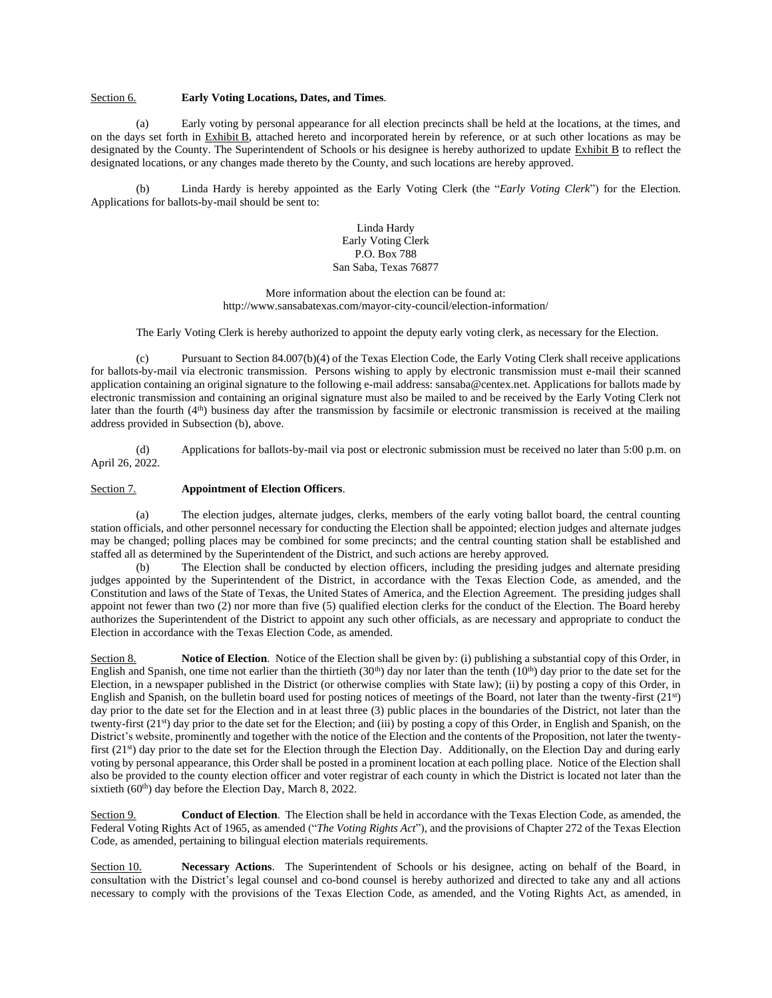# Section 6. **Early Voting Locations, Dates, and Times**.

(a) Early voting by personal appearance for all election precincts shall be held at the locations, at the times, and on the days set forth in Exhibit B, attached hereto and incorporated herein by reference, or at such other locations as may be designated by the County. The Superintendent of Schools or his designee is hereby authorized to update Exhibit B to reflect the designated locations, or any changes made thereto by the County, and such locations are hereby approved.

(b) Linda Hardy is hereby appointed as the Early Voting Clerk (the "*Early Voting Clerk*") for the Election. Applications for ballots-by-mail should be sent to:

> Linda Hardy Early Voting Clerk P.O. Box 788 San Saba, Texas 76877

More information about the election can be found at: http://www.sansabatexas.com/mayor-city-council/election-information/

The Early Voting Clerk is hereby authorized to appoint the deputy early voting clerk, as necessary for the Election.

(c) Pursuant to Section 84.007(b)(4) of the Texas Election Code, the Early Voting Clerk shall receive applications for ballots-by-mail via electronic transmission. Persons wishing to apply by electronic transmission must e-mail their scanned application containing an original signature to the following e-mail address: sansaba@centex.net. Applications for ballots made by electronic transmission and containing an original signature must also be mailed to and be received by the Early Voting Clerk not later than the fourth (4<sup>th</sup>) business day after the transmission by facsimile or electronic transmission is received at the mailing address provided in Subsection (b), above.

(d) Applications for ballots-by-mail via post or electronic submission must be received no later than 5:00 p.m. on April 26, 2022.

## Section 7. **Appointment of Election Officers**.

(a) The election judges, alternate judges, clerks, members of the early voting ballot board, the central counting station officials, and other personnel necessary for conducting the Election shall be appointed; election judges and alternate judges may be changed; polling places may be combined for some precincts; and the central counting station shall be established and staffed all as determined by the Superintendent of the District, and such actions are hereby approved.

(b) The Election shall be conducted by election officers, including the presiding judges and alternate presiding judges appointed by the Superintendent of the District, in accordance with the Texas Election Code, as amended, and the Constitution and laws of the State of Texas, the United States of America, and the Election Agreement. The presiding judges shall appoint not fewer than two (2) nor more than five (5) qualified election clerks for the conduct of the Election. The Board hereby authorizes the Superintendent of the District to appoint any such other officials, as are necessary and appropriate to conduct the Election in accordance with the Texas Election Code, as amended.

Section 8. **Notice of Election**. Notice of the Election shall be given by: (i) publishing a substantial copy of this Order, in English and Spanish, one time not earlier than the thirtieth  $(30<sup>th</sup>)$  day nor later than the tenth  $(10<sup>th</sup>)$  day prior to the date set for the Election, in a newspaper published in the District (or otherwise complies with State law); (ii) by posting a copy of this Order, in English and Spanish, on the bulletin board used for posting notices of meetings of the Board, not later than the twenty-first (21st) day prior to the date set for the Election and in at least three (3) public places in the boundaries of the District, not later than the twenty-first (21<sup>st</sup>) day prior to the date set for the Election; and (iii) by posting a copy of this Order, in English and Spanish, on the District's website, prominently and together with the notice of the Election and the contents of the Proposition, not later the twentyfirst (21<sup>st</sup>) day prior to the date set for the Election through the Election Day. Additionally, on the Election Day and during early voting by personal appearance, this Order shall be posted in a prominent location at each polling place. Notice of the Election shall also be provided to the county election officer and voter registrar of each county in which the District is located not later than the sixtieth (60<sup>th</sup>) day before the Election Day, March 8, 2022.

Section 9. **Conduct of Election**. The Election shall be held in accordance with the Texas Election Code, as amended, the Federal Voting Rights Act of 1965, as amended ("*The Voting Rights Act*"), and the provisions of Chapter 272 of the Texas Election Code, as amended, pertaining to bilingual election materials requirements.

Section 10. **Necessary Actions**. The Superintendent of Schools or his designee, acting on behalf of the Board, in consultation with the District's legal counsel and co-bond counsel is hereby authorized and directed to take any and all actions necessary to comply with the provisions of the Texas Election Code, as amended, and the Voting Rights Act, as amended, in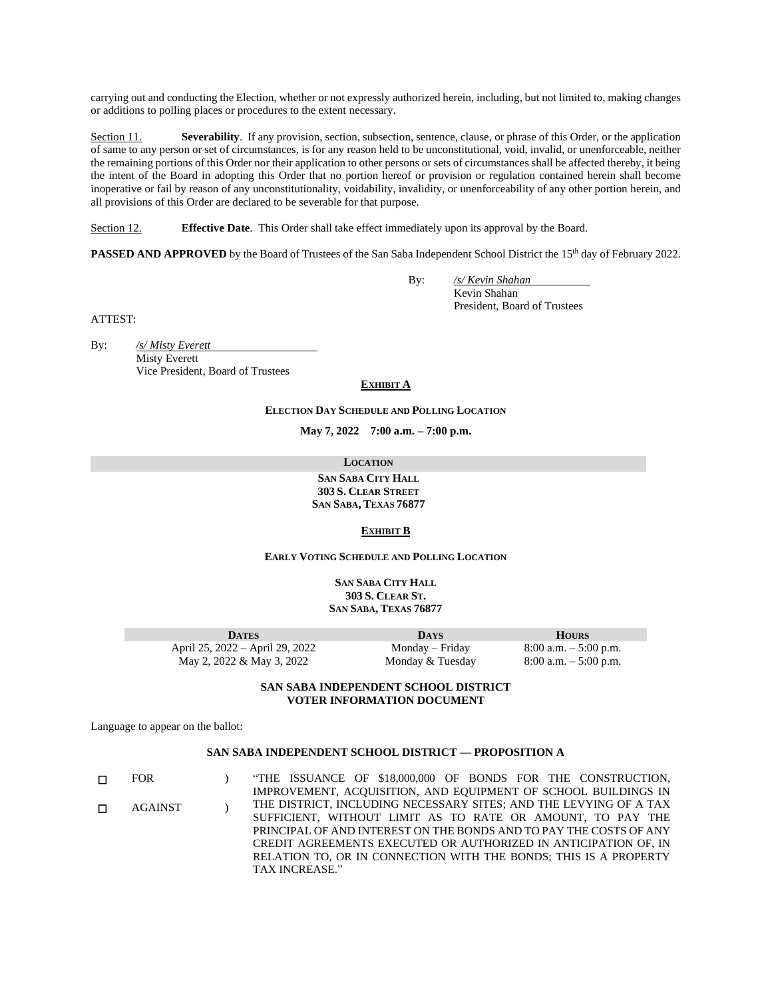carrying out and conducting the Election, whether or not expressly authorized herein, including, but not limited to, making changes or additions to polling places or procedures to the extent necessary.

Section 11. **Severability**. If any provision, section, subsection, sentence, clause, or phrase of this Order, or the application of same to any person or set of circumstances, is for any reason held to be unconstitutional, void, invalid, or unenforceable, neither the remaining portions of this Order nor their application to other persons or sets of circumstances shall be affected thereby, it being the intent of the Board in adopting this Order that no portion hereof or provision or regulation contained herein shall become inoperative or fail by reason of any unconstitutionality, voidability, invalidity, or unenforceability of any other portion herein, and all provisions of this Order are declared to be severable for that purpose.

Section 12. **Effective Date**. This Order shall take effect immediately upon its approval by the Board.

**PASSED AND APPROVED** by the Board of Trustees of the San Saba Independent School District the 15<sup>th</sup> day of February 2022.

By: */s/ Kevin Shahan*

Kevin Shahan President, Board of Trustees

ATTEST:

By: */s/ Misty Everett* Misty Everett Vice President, Board of Trustees

#### **EXHIBIT A**

#### **ELECTION DAY SCHEDULE AND POLLING LOCATION**

**May 7, 2022 7:00 a.m. – 7:00 p.m.**

**LOCATION**

**SAN SABA CITY HALL 303 S. CLEAR STREET SAN SABA, TEXAS 76877**

#### **EXHIBIT B**

**EARLY VOTING SCHEDULE AND POLLING LOCATION**

**SAN SABA CITY HALL 303 S. CLEAR ST. SAN SABA, TEXAS 76877**

| <b>DATES</b>                    | <b>DAYS</b>      | <b>HOURS</b>             |
|---------------------------------|------------------|--------------------------|
| April 25, 2022 – April 29, 2022 | Monday – Friday  | $8:00$ a.m. $-5:00$ p.m. |
| May 2, 2022 & May 3, 2022       | Monday & Tuesday | $8:00$ a.m. $-5:00$ p.m. |

## **SAN SABA INDEPENDENT SCHOOL DISTRICT VOTER INFORMATION DOCUMENT**

Language to appear on the ballot:

## **SAN SABA INDEPENDENT SCHOOL DISTRICT — PROPOSITION A**

☐ FOR ) "THE ISSUANCE OF \$18,000,000 OF BONDS FOR THE CONSTRUCTION, IMPROVEMENT, ACQUISITION, AND EQUIPMENT OF SCHOOL BUILDINGS IN THE DISTRICT, INCLUDING NECESSARY SITES; AND THE LEVYING OF A TAX SUFFICIENT, WITHOUT LIMIT AS TO RATE OR AMOUNT, TO PAY THE PRINCIPAL OF AND INTEREST ON THE BONDS AND TO PAY THE COSTS OF ANY CREDIT AGREEMENTS EXECUTED OR AUTHORIZED IN ANTICIPATION OF, IN RELATION TO, OR IN CONNECTION WITH THE BONDS; THIS IS A PROPERTY TAX INCREASE." ☐ AGAINST )